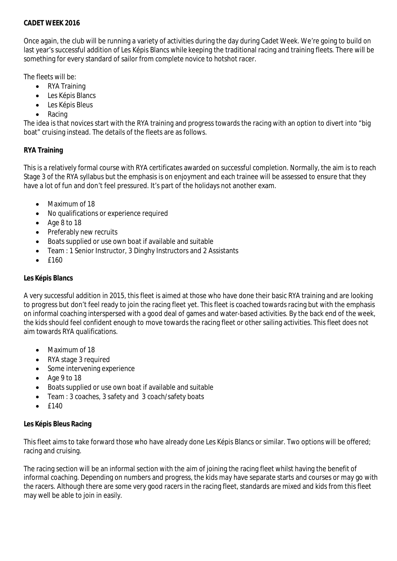### **CADET WEEK 2016**

Once again, the club will be running a variety of activities during the day during Cadet Week. We're going to build on last year's successful addition of Les Képis Blancs while keeping the traditional racing and training fleets. There will be something for every standard of sailor from complete novice to hotshot racer.

The fleets will be:

- RYA Training
- Les Képis Blancs
- Les Képis Bleus
- Racing

The idea is that novices start with the RYA training and progress towards the racing with an option to divert into "big boat" cruising instead. The details of the fleets are as follows.

# **RYA Training**

This is a relatively formal course with RYA certificates awarded on successful completion. Normally, the aim is to reach Stage 3 of the RYA syllabus but the emphasis is on enjoyment and each trainee will be assessed to ensure that they have a lot of fun and don't feel pressured. It's part of the holidays not another exam.

- Maximum of 18
- No qualifications or experience required
- Age 8 to 18
- Preferably new recruits
- Boats supplied or use own boat if available and suitable
- Team : 1 Senior Instructor, 3 Dinghy Instructors and 2 Assistants
- £160

## **Les Képis Blancs**

A very successful addition in 2015, this fleet is aimed at those who have done their basic RYA training and are looking to progress but don't feel ready to join the racing fleet yet. This fleet is coached towards racing but with the emphasis on informal coaching interspersed with a good deal of games and water-based activities. By the back end of the week, the kids should feel confident enough to move towards the racing fleet or other sailing activities. This fleet does not aim towards RYA qualifications.

- Maximum of 18
- RYA stage 3 required
- Some intervening experience
- Age 9 to 18
- Boats supplied or use own boat if available and suitable
- Team : 3 coaches, 3 safety and 3 coach/safety boats
- £140

#### **Les Képis Bleus Racing**

This fleet aims to take forward those who have already done Les Képis Blancs or similar. Two options will be offered; racing and cruising.

The racing section will be an informal section with the aim of joining the racing fleet whilst having the benefit of informal coaching. Depending on numbers and progress, the kids may have separate starts and courses or may go with the racers. Although there are some very good racers in the racing fleet, standards are mixed and kids from this fleet may well be able to join in easily.